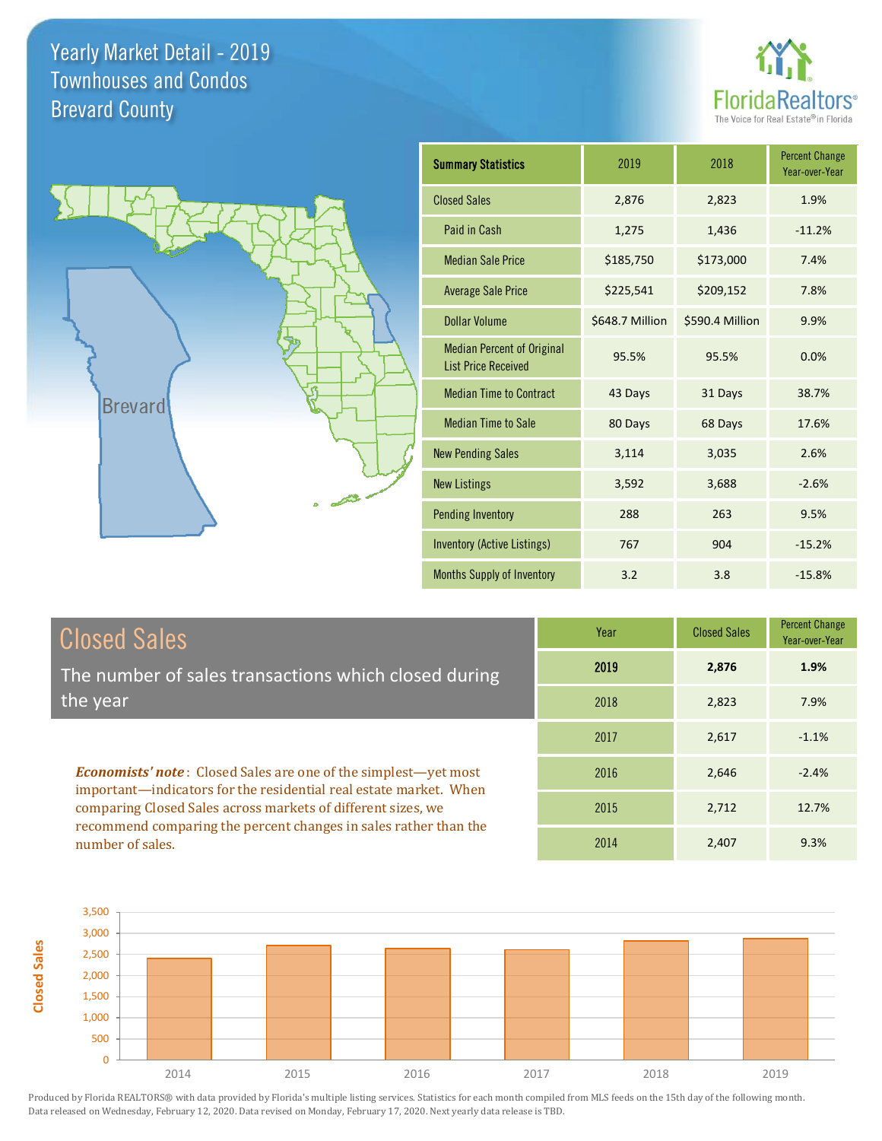



| <b>Summary Statistics</b>                                       | 2019            | 2018            | <b>Percent Change</b><br>Year-over-Year |
|-----------------------------------------------------------------|-----------------|-----------------|-----------------------------------------|
| <b>Closed Sales</b>                                             | 2,876           | 2,823           | 1.9%                                    |
| Paid in Cash                                                    | 1,275           | 1,436           | $-11.2%$                                |
| <b>Median Sale Price</b>                                        | \$185,750       | \$173,000       | 7.4%                                    |
| <b>Average Sale Price</b>                                       | \$225,541       | \$209,152       | 7.8%                                    |
| Dollar Volume                                                   | \$648.7 Million | \$590.4 Million | 9.9%                                    |
| <b>Median Percent of Original</b><br><b>List Price Received</b> | 95.5%           | 95.5%           | 0.0%                                    |
| <b>Median Time to Contract</b>                                  | 43 Days         | 31 Days         | 38.7%                                   |
| <b>Median Time to Sale</b>                                      | 80 Days         | 68 Days         | 17.6%                                   |
| <b>New Pending Sales</b>                                        | 3,114           | 3,035           | 2.6%                                    |
| <b>New Listings</b>                                             | 3,592           | 3,688           | $-2.6%$                                 |
| <b>Pending Inventory</b>                                        | 288             | 263             | 9.5%                                    |
| <b>Inventory (Active Listings)</b>                              | 767             | 904             | $-15.2%$                                |
| <b>Months Supply of Inventory</b>                               | 3.2             | 3.8             | $-15.8%$                                |

#### Closed Sales

The number of sales transactions which closed during the year

*Economists' note* : Closed Sales are one of the simplest—yet most important—indicators for the residential real estate market. When comparing Closed Sales across markets of different sizes, we recommend comparing the percent changes in sales rather than the number of sales.

| Year | <b>Closed Sales</b> | <b>Percent Change</b><br>Year-over-Year |
|------|---------------------|-----------------------------------------|
| 2019 | 2,876               | 1.9%                                    |
| 2018 | 2,823               | 7.9%                                    |
| 2017 | 2,617               | $-1.1%$                                 |
| 2016 | 2,646               | $-2.4%$                                 |
| 2015 | 2,712               | 12.7%                                   |
| 2014 | 2,407               | 9.3%                                    |

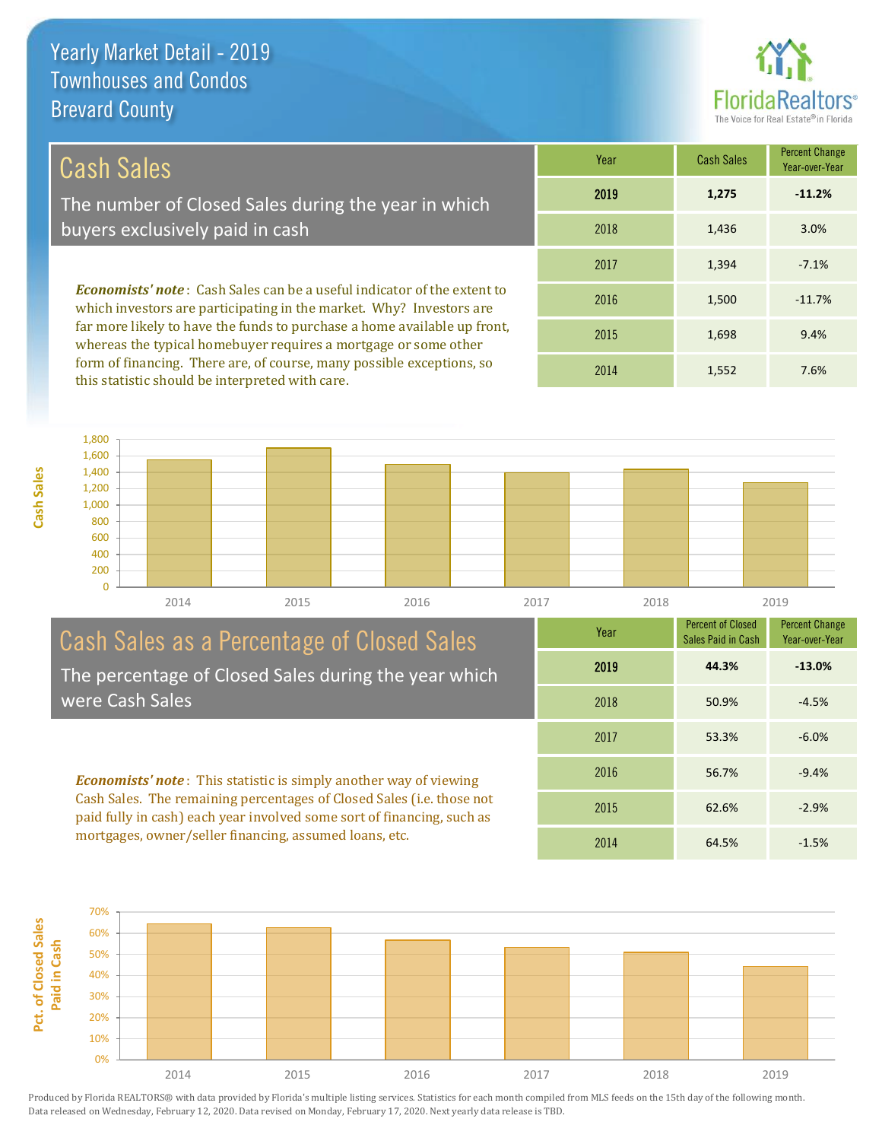

#### Cash Sales

**Cash Sales**

The number of Closed Sales during the year in which buyers exclusively paid in cash

*Economists' note* : Cash Sales can be a useful indicator of the extent to which investors are participating in the market. Why? Investors are far more likely to have the funds to purchase a home available up front, whereas the typical homebuyer requires a mortgage or some other form of financing. There are, of course, many possible exceptions, so this statistic should be interpreted with care.

| Year | <b>Cash Sales</b> | <b>Percent Change</b><br>Year-over-Year |
|------|-------------------|-----------------------------------------|
| 2019 | 1,275             | $-11.2%$                                |
| 2018 | 1,436             | 3.0%                                    |
| 2017 | 1,394             | $-7.1%$                                 |
| 2016 | 1,500             | $-11.7%$                                |
| 2015 | 1,698             | 9.4%                                    |
| 2014 | 1,552             | 7.6%                                    |



#### Cash Sales as a Percentage of Closed Sales The percentage of Closed Sales during the year which were Cash Sales

*Economists' note* : This statistic is simply another way of viewing Cash Sales. The remaining percentages of Closed Sales (i.e. those not paid fully in cash) each year involved some sort of financing, such as mortgages, owner/seller financing, assumed loans, etc.



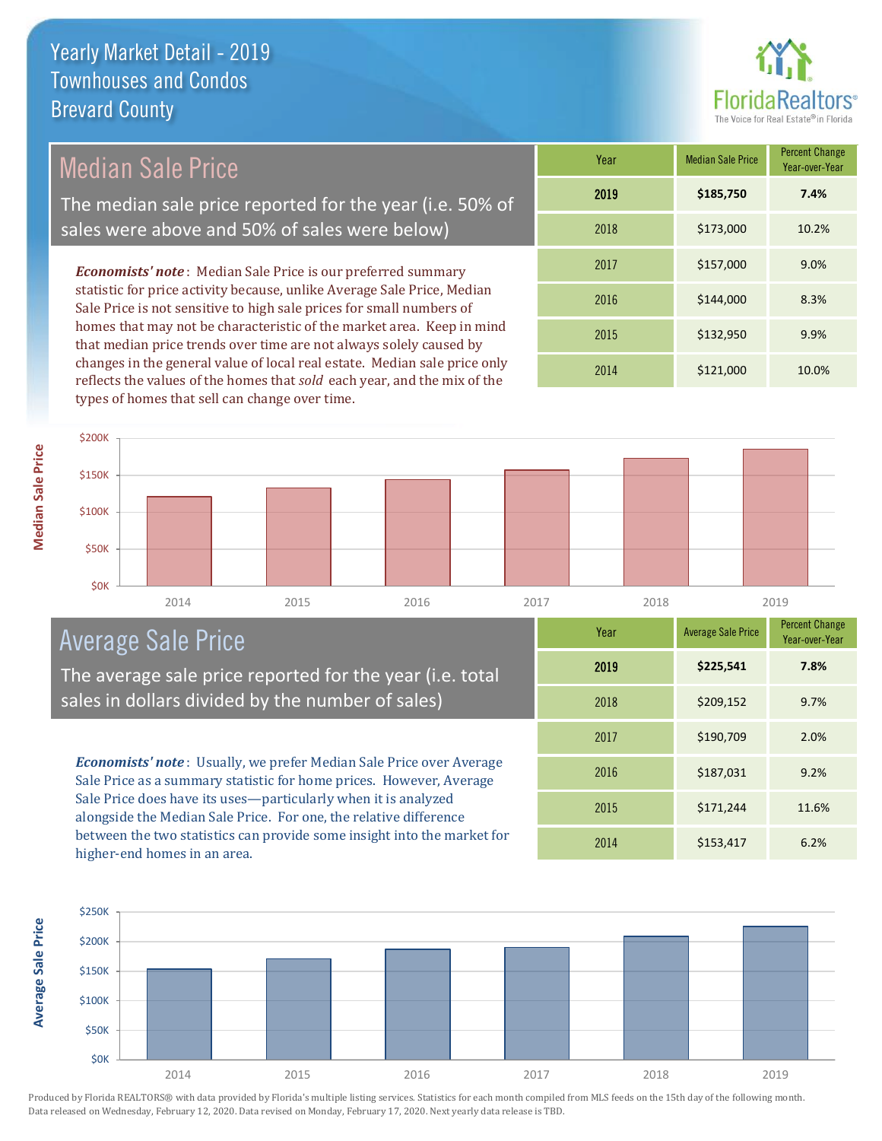

#### Median Sale Price

The median sale price reported for the year (i.e. 50% of sales were above and 50% of sales were below)

*Economists' note* : Median Sale Price is our preferred summary statistic for price activity because, unlike Average Sale Price, Median Sale Price is not sensitive to high sale prices for small numbers of homes that may not be characteristic of the market area. Keep in mind that median price trends over time are not always solely caused by changes in the general value of local real estate. Median sale price only reflects the values of the homes that *sold* each year, and the mix of the types of homes that sell can change over time.

| Year | <b>Median Sale Price</b> | <b>Percent Change</b><br>Year-over-Year |
|------|--------------------------|-----------------------------------------|
| 2019 | \$185,750                | 7.4%                                    |
| 2018 | \$173,000                | 10.2%                                   |
| 2017 | \$157,000                | 9.0%                                    |
| 2016 | \$144,000                | 8.3%                                    |
| 2015 | \$132,950                | 9.9%                                    |
| 2014 | \$121,000                | 10.0%                                   |



#### Average Sale Price

The average sale price reported for the year (i.e. total sales in dollars divided by the number of sales)

*Economists' note* : Usually, we prefer Median Sale Price over Average Sale Price as a summary statistic for home prices. However, Average Sale Price does have its uses—particularly when it is analyzed alongside the Median Sale Price. For one, the relative difference between the two statistics can provide some insight into the market for higher-end homes in an area.

| Year | <b>Average Sale Price</b> | <b>Percent Change</b><br>Year-over-Year |
|------|---------------------------|-----------------------------------------|
| 2019 | \$225,541                 | 7.8%                                    |
| 2018 | \$209,152                 | 9.7%                                    |
| 2017 | \$190,709                 | 2.0%                                    |
| 2016 | \$187,031                 | 9.2%                                    |
| 2015 | \$171,244                 | 11.6%                                   |
| 2014 | \$153,417                 | 6.2%                                    |



**Median Sale Price Median Sale Price**

**Average Sale Price Average Sale Price**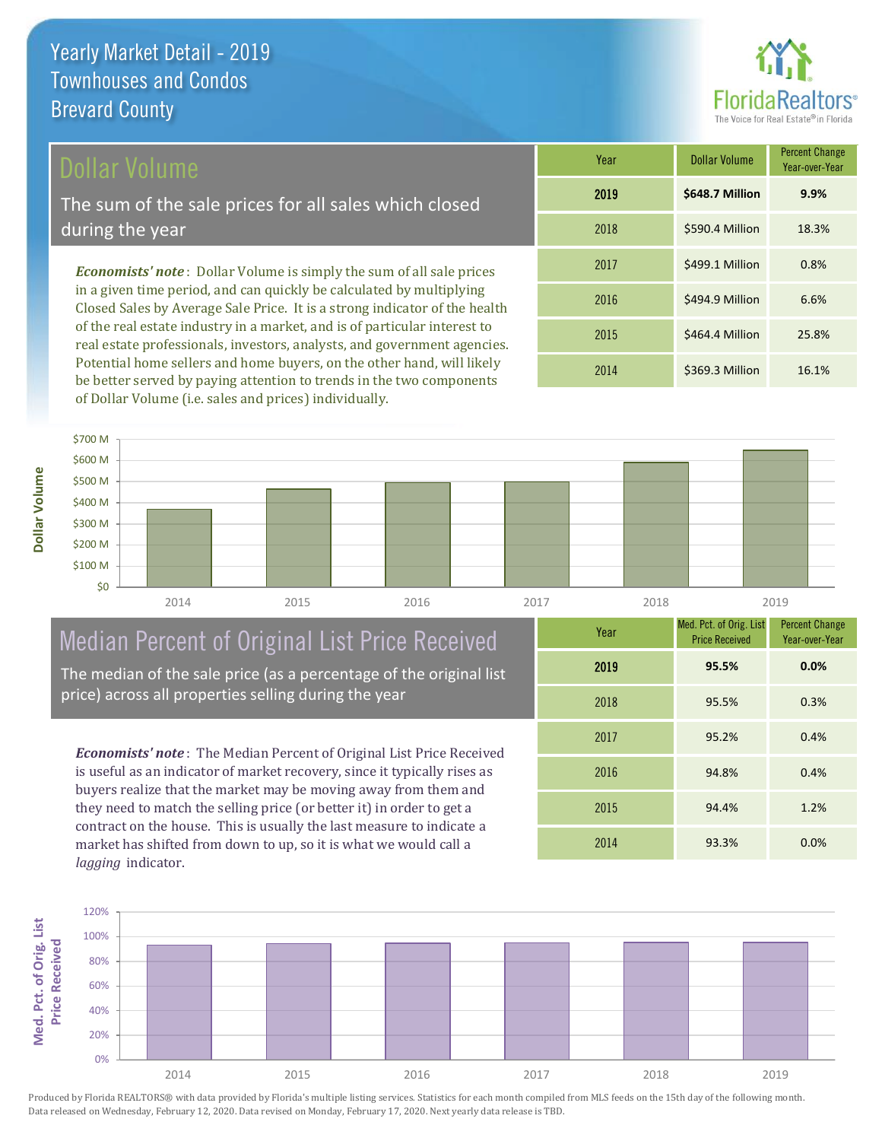#### Dollar Volume

The sum of the sale prices for all sales which closed during the year

*Economists' note* : Dollar Volume is simply the sum of all sale prices in a given time period, and can quickly be calculated by multiplying Closed Sales by Average Sale Price. It is a strong indicator of the health of the real estate industry in a market, and is of particular interest to real estate professionals, investors, analysts, and government agencies. Potential home sellers and home buyers, on the other hand, will likely be better served by paying attention to trends in the two components of Dollar Volume (i.e. sales and prices) individually.

| Year | <b>Dollar Volume</b> | <b>Percent Change</b><br>Year-over-Year |
|------|----------------------|-----------------------------------------|
| 2019 | \$648.7 Million      | 9.9%                                    |
| 2018 | \$590.4 Million      | 18.3%                                   |
| 2017 | \$499.1 Million      | 0.8%                                    |
| 2016 | \$494.9 Million      | 6.6%                                    |
| 2015 | \$464.4 Million      | 25.8%                                   |
| 2014 | \$369.3 Million      | 16.1%                                   |



### Median Percent of Original List Price Received

The median of the sale price (as a percentage of the original list price) across all properties selling during the year

*Economists' note* : The Median Percent of Original List Price Received is useful as an indicator of market recovery, since it typically rises as buyers realize that the market may be moving away from them and they need to match the selling price (or better it) in order to get a contract on the house. This is usually the last measure to indicate a market has shifted from down to up, so it is what we would call a *lagging* indicator.

| Year | Med. Pct. of Orig. List<br><b>Price Received</b> | <b>Percent Change</b><br>Year-over-Year |
|------|--------------------------------------------------|-----------------------------------------|
| 2019 | 95.5%                                            | 0.0%                                    |
| 2018 | 95.5%                                            | 0.3%                                    |
| 2017 | 95.2%                                            | 0.4%                                    |
| 2016 | 94.8%                                            | 0.4%                                    |
| 2015 | 94.4%                                            | 1.2%                                    |
| 2014 | 93.3%                                            | 0.0%                                    |

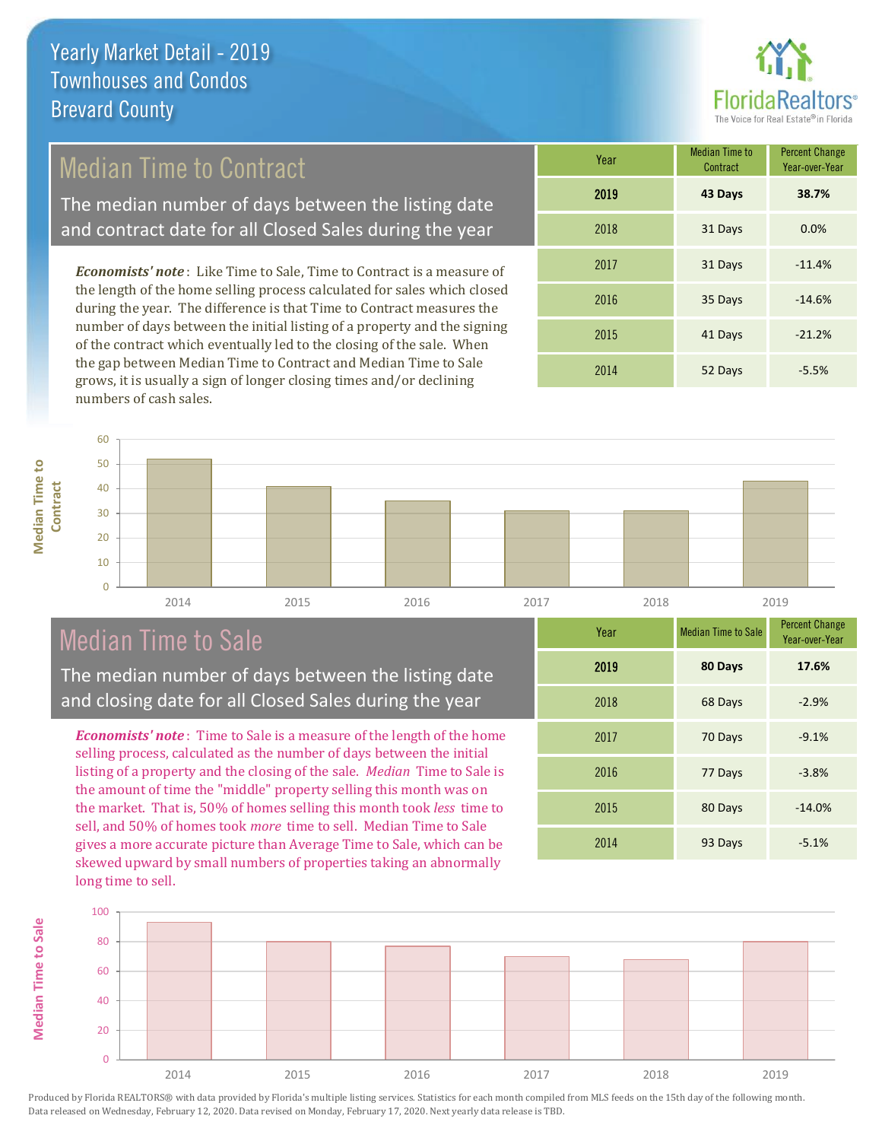

#### Median Time to Contract

The median number of days between the listing date and contract date for all Closed Sales during the year

*Economists' note* : Like Time to Sale, Time to Contract is a measure of the length of the home selling process calculated for sales which closed during the year. The difference is that Time to Contract measures the number of days between the initial listing of a property and the signing of the contract which eventually led to the closing of the sale. When the gap between Median Time to Contract and Median Time to Sale grows, it is usually a sign of longer closing times and/or declining numbers of cash sales.

| Year | <b>Median Time to</b><br>Contract | <b>Percent Change</b><br>Year-over-Year |
|------|-----------------------------------|-----------------------------------------|
| 2019 | 43 Days                           | 38.7%                                   |
| 2018 | 31 Days                           | 0.0%                                    |
| 2017 | 31 Days                           | $-11.4%$                                |
| 2016 | 35 Days                           | $-14.6%$                                |
| 2015 | 41 Days                           | $-21.2%$                                |
| 2014 | 52 Days                           | $-5.5%$                                 |



#### Median Time to Sale

The median number of days between the listing date and closing date for all Closed Sales during the year

*Economists' note* : Time to Sale is a measure of the length of the home selling process, calculated as the number of days between the initial listing of a property and the closing of the sale. *Median* Time to Sale is the amount of time the "middle" property selling this month was on the market. That is, 50% of homes selling this month took *less* time to sell, and 50% of homes took *more* time to sell. Median Time to Sale gives a more accurate picture than Average Time to Sale, which can be skewed upward by small numbers of properties taking an abnormally long time to sell.

| Year | <b>Median Time to Sale</b> | <b>Percent Change</b><br>Year-over-Year |
|------|----------------------------|-----------------------------------------|
| 2019 | 80 Days                    | 17.6%                                   |
| 2018 | 68 Days                    | $-2.9%$                                 |
| 2017 | 70 Days                    | $-9.1%$                                 |
| 2016 | 77 Days                    | $-3.8%$                                 |
| 2015 | 80 Days                    | $-14.0%$                                |
| 2014 | 93 Days                    | $-5.1%$                                 |



Produced by Florida REALTORS® with data provided by Florida's multiple listing services. Statistics for each month compiled from MLS feeds on the 15th day of the following month. Data released on Wednesday, February 12, 2020. Data revised on Monday, February 17, 2020. Next yearly data release is TBD.

**Median Time to** 

**Median Time to**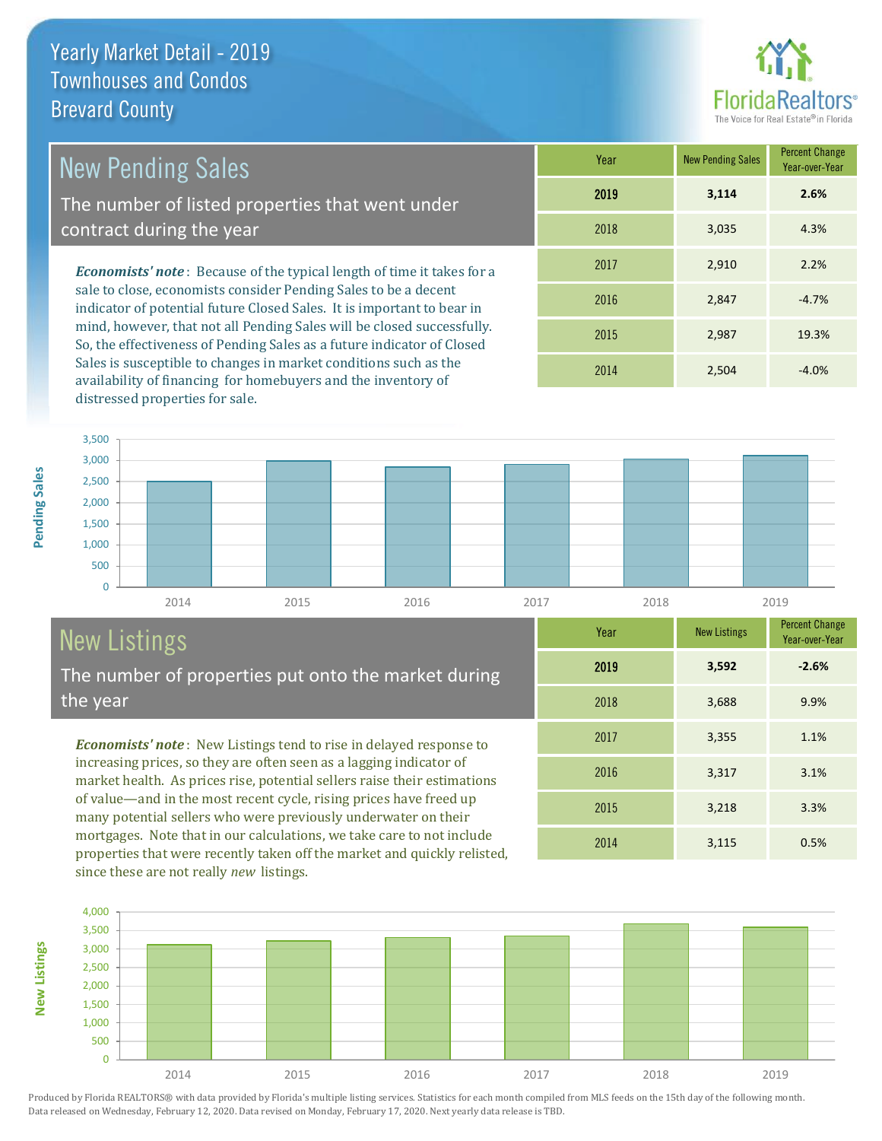# **Florid**

3,317 3.1%

2014 3,115 0.5%

2015 3,218 3.3%

2017 3,355 1.1%

2018 3,688 9.9%

Year-over-Year

**-2.6%**

Percent Change

| <b>New Pending Sales</b>                                                                                                                  | Year | <b>New</b> |
|-------------------------------------------------------------------------------------------------------------------------------------------|------|------------|
| The number of listed properties that went under                                                                                           | 2019 |            |
| contract during the year                                                                                                                  | 2018 |            |
| <b>Economists' note:</b> Because of the typical length of time it takes for a                                                             | 2017 |            |
| sale to close, economists consider Pending Sales to be a decent<br>indicator of potential future Closed Sales. It is important to bear in | 2016 |            |

indicator of potential future Closed Sales. It is important to bear in mind, however, that not all Pending Sales will be closed successfully. So, the effectiveness of Pending Sales as a future indicator of Closed Sales is susceptible to changes in market conditions such as the availability of financing for homebuyers and the inventory of distressed properties for sale.

| 1001 | <b>HOW LONGING OWNER</b> | Year-over-Year |
|------|--------------------------|----------------|
| 2019 | 3,114                    | 2.6%           |
| 2018 | 3,035                    | 4.3%           |
| 2017 | 2,910                    | 2.2%           |
| 2016 | 2,847                    | $-4.7%$        |
| 2015 | 2,987                    | 19.3%          |
| 2014 | 2,504                    | $-4.0%$        |

2019 **3,592**

2016



## New Listings

The number of properties put onto the market during the year

*Economists' note* : New Listings tend to rise in delayed response to increasing prices, so they are often seen as a lagging indicator of market health. As prices rise, potential sellers raise their estimations of value—and in the most recent cycle, rising prices have freed up many potential sellers who were previously underwater on their mortgages. Note that in our calculations, we take care to not include properties that were recently taken off the market and quickly relisted, since these are not really *new* listings.



Produced by Florida REALTORS® with data provided by Florida's multiple listing services. Statistics for each month compiled from MLS feeds on the 15th day of the following month. Data released on Wednesday, February 12, 2020. Data revised on Monday, February 17, 2020. Next yearly data release is TBD.

**New Listings**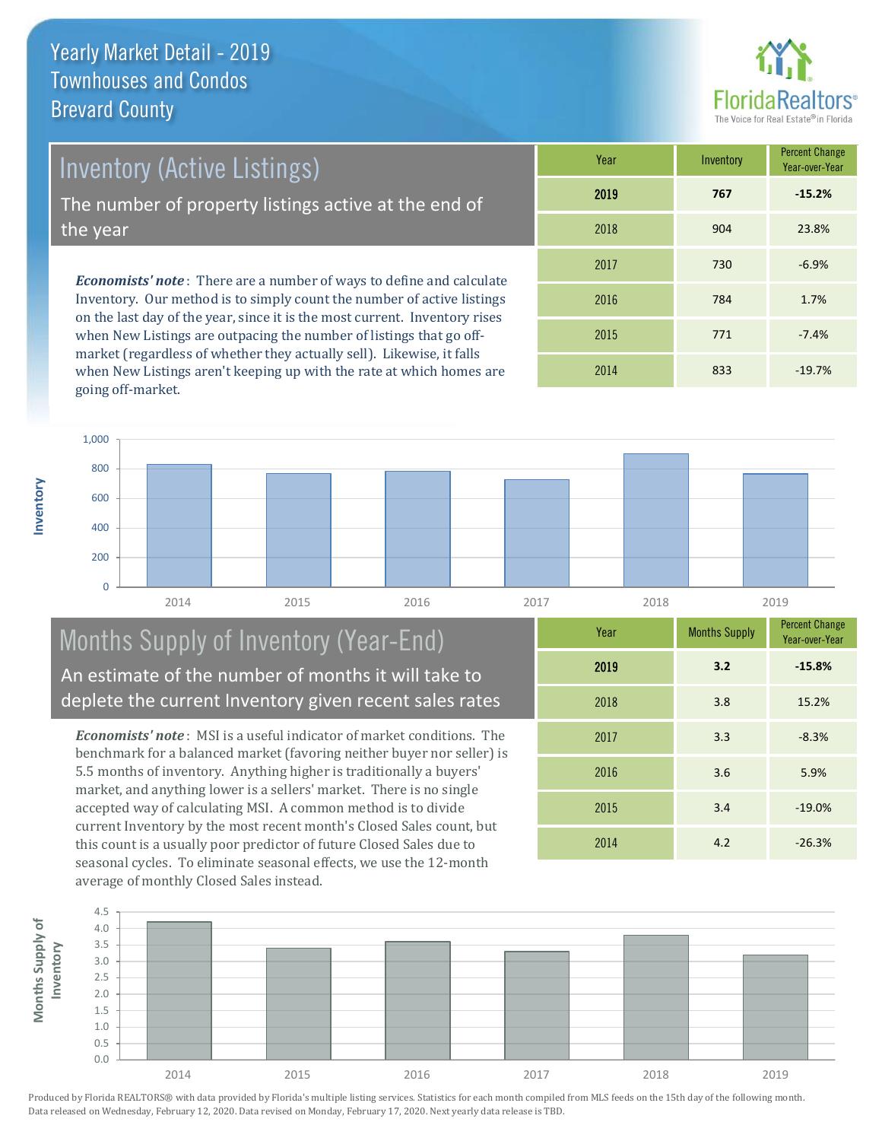**Inventory**



Inventory (Active Listings)

The number of property listings active at the end of the year

*Economists' note* : There are a number of ways to define and calculate Inventory. Our method is to simply count the number of active listings on the last day of the year, since it is the most current. Inventory rises when New Listings are outpacing the number of listings that go offmarket (regardless of whether they actually sell). Likewise, it falls when New Listings aren't keeping up with the rate at which homes are going off-market.

| Year | Inventory | <b>Percent Change</b><br>Year-over-Year |
|------|-----------|-----------------------------------------|
| 2019 | 767       | $-15.2%$                                |
| 2018 | 904       | 23.8%                                   |
| 2017 | 730       | $-6.9%$                                 |
| 2016 | 784       | 1.7%                                    |
| 2015 | 771       | $-7.4%$                                 |
| 2014 | 833       | $-19.7%$                                |



#### Months Supply of Inventory (Year-End) An estimate of the number of months it will take to deplete the current Inventory given recent sales rates

*Economists' note* : MSI is a useful indicator of market conditions. The benchmark for a balanced market (favoring neither buyer nor seller) is 5.5 months of inventory. Anything higher is traditionally a buyers' market, and anything lower is a sellers' market. There is no single accepted way of calculating MSI. A common method is to divide current Inventory by the most recent month's Closed Sales count, but this count is a usually poor predictor of future Closed Sales due to seasonal cycles. To eliminate seasonal effects, we use the 12-month average of monthly Closed Sales instead.

| Year | <b>Months Supply</b> | <b>Percent Change</b><br>Year-over-Year |
|------|----------------------|-----------------------------------------|
| 2019 | 3.2                  | $-15.8%$                                |
| 2018 | 3.8                  | 15.2%                                   |
| 2017 | 3.3                  | $-8.3%$                                 |
| 2016 | 3.6                  | 5.9%                                    |
| 2015 | 3.4                  | $-19.0%$                                |
| 2014 | 4.2                  | $-26.3%$                                |

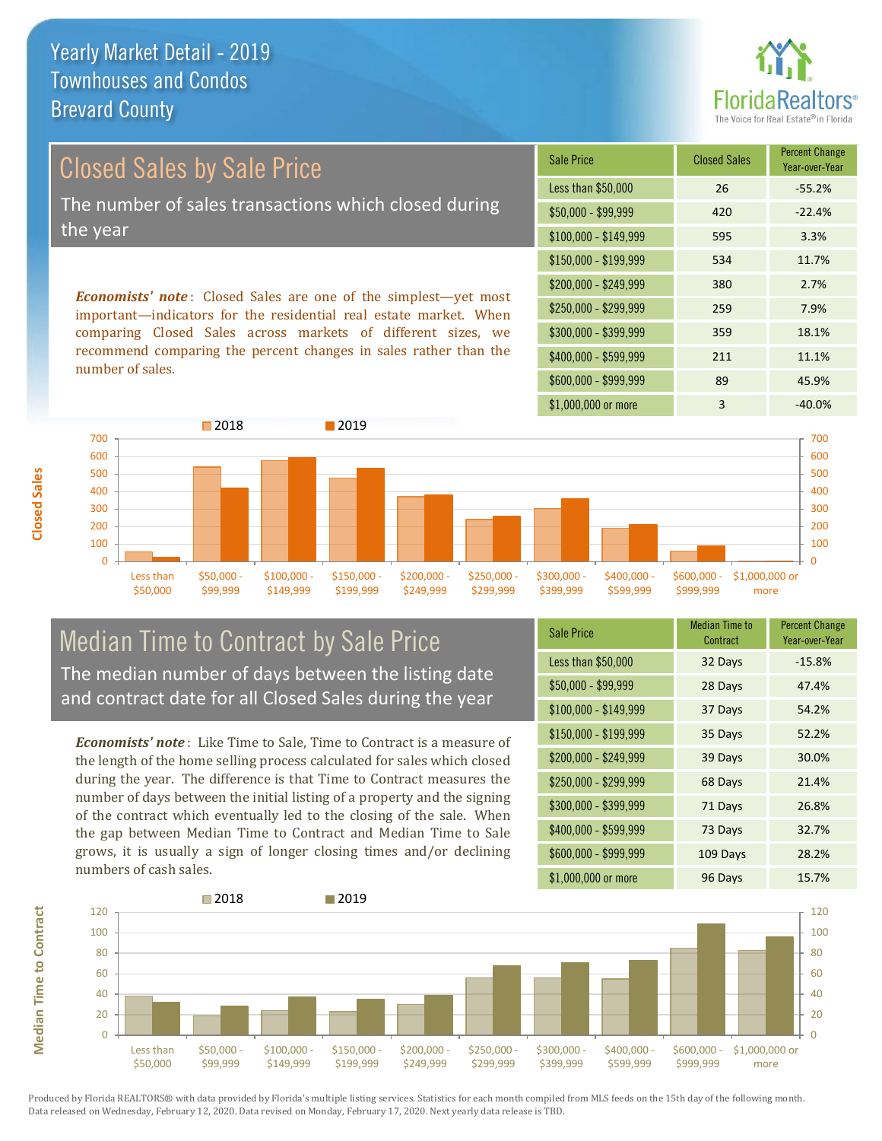

# Closed Sales by Sale Price The number of sales transactions which closed during the year

*Economists' note* : Closed Sales are one of the simplest—yet most important—indicators for the residential real estate market. When comparing Closed Sales across markets of different sizes, we recommend comparing the percent changes in sales rather than the number of sales.

| <b>Sale Price</b>     | <b>Closed Sales</b> | <b>Percent Change</b><br>Year-over-Year |
|-----------------------|---------------------|-----------------------------------------|
| Less than \$50,000    | 26                  | $-55.2%$                                |
| $$50,000 - $99,999$   | 420                 | $-22.4%$                                |
| $$100,000 - $149,999$ | 595                 | 3.3%                                    |
| $$150,000 - $199,999$ | 534                 | 11.7%                                   |
| \$200,000 - \$249,999 | 380                 | 2.7%                                    |
| \$250,000 - \$299,999 | 259                 | 7.9%                                    |
| \$300,000 - \$399,999 | 359                 | 18.1%                                   |
| \$400,000 - \$599,999 | 211                 | 11.1%                                   |
| \$600,000 - \$999,999 | 89                  | 45.9%                                   |
| \$1,000,000 or more   | 3                   | $-40.0\%$                               |



#### Median Time to Contract by Sale Price The median number of days between the listing date and contract date for all Closed Sales during the year

*Economists' note* : Like Time to Sale, Time to Contract is a measure of the length of the home selling process calculated for sales which closed during the year. The difference is that Time to Contract measures the number of days between the initial listing of a property and the signing of the contract which eventually led to the closing of the sale. When the gap between Median Time to Contract and Median Time to Sale grows, it is usually a sign of longer closing times and/or declining numbers of cash sales.

| <b>Sale Price</b>     | <b>Median Time to</b><br>Contract | <b>Percent Change</b><br>Year-over-Year |
|-----------------------|-----------------------------------|-----------------------------------------|
| Less than \$50,000    | 32 Days                           | $-15.8%$                                |
| \$50,000 - \$99,999   | 28 Days                           | 47.4%                                   |
| $$100,000 - $149,999$ | 37 Days                           | 54.2%                                   |
| $$150,000 - $199,999$ | 35 Days                           | 52.2%                                   |
| \$200,000 - \$249,999 | 39 Days                           | 30.0%                                   |
| \$250,000 - \$299,999 | 68 Days                           | 21.4%                                   |
| \$300,000 - \$399,999 | 71 Days                           | 26.8%                                   |
| \$400,000 - \$599,999 | 73 Days                           | 32.7%                                   |
| \$600,000 - \$999,999 | 109 Days                          | 28.2%                                   |
| \$1,000,000 or more   | 96 Days                           | 15.7%                                   |

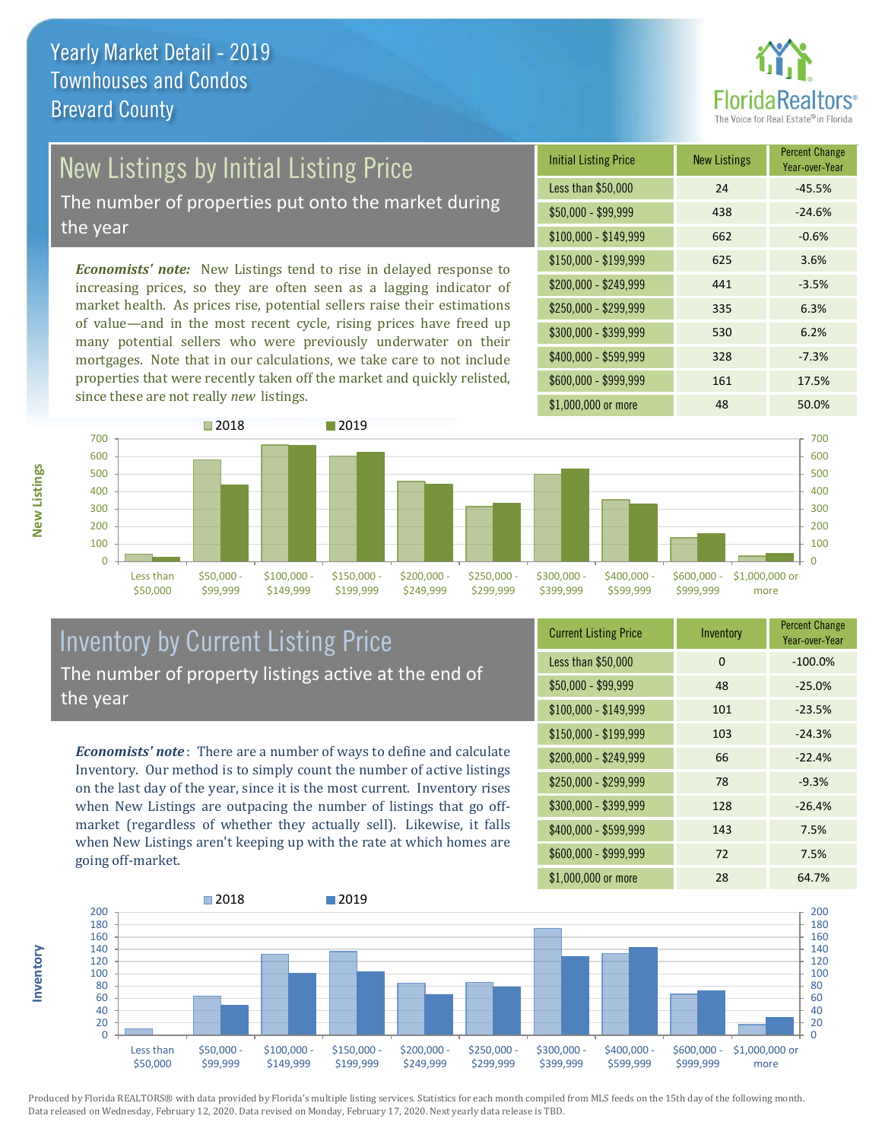

#### New Listings by Initial Listing Price

The number of properties put onto the market during the year

*Economists' note:* New Listings tend to rise in delayed response to increasing prices, so they are often seen as a lagging indicator of market health. As prices rise, potential sellers raise their estimations of value—and in the most recent cycle, rising prices have freed up many potential sellers who were previously underwater on their mortgages. Note that in our calculations, we take care to not include properties that were recently taken off the market and quickly relisted, since these are not really *new* listings.

| <b>Initial Listing Price</b> | <b>New Listings</b> | <b>Percent Change</b><br>Year-over-Year |
|------------------------------|---------------------|-----------------------------------------|
| Less than \$50,000           | 24                  | $-45.5%$                                |
| \$50,000 - \$99,999          | 438                 | $-24.6%$                                |
| $$100,000 - $149,999$        | 662                 | $-0.6%$                                 |
| $$150,000 - $199,999$        | 625                 | 3.6%                                    |
| \$200,000 - \$249,999        | 441                 | $-3.5%$                                 |
| \$250,000 - \$299,999        | 335                 | 6.3%                                    |
| \$300,000 - \$399,999        | 530                 | 6.2%                                    |
| \$400,000 - \$599,999        | 328                 | $-7.3%$                                 |
| \$600,000 - \$999,999        | 161                 | 17.5%                                   |
| \$1,000,000 or more          | 48                  | 50.0%                                   |



#### Inventory by Current Listing Price The number of property listings active at the end of the year

*Economists' note* : There are a number of ways to define and calculate Inventory. Our method is to simply count the number of active listings on the last day of the year, since it is the most current. Inventory rises when New Listings are outpacing the number of listings that go offmarket (regardless of whether they actually sell). Likewise, it falls when New Listings aren't keeping up with the rate at which homes are going off-market.

| <b>Current Listing Price</b> | Inventory | <b>Percent Change</b><br>Year-over-Year |
|------------------------------|-----------|-----------------------------------------|
| Less than \$50,000           | $\Omega$  | $-100.0%$                               |
| \$50,000 - \$99,999          | 48        | $-25.0%$                                |
| $$100,000 - $149,999$        | 101       | $-23.5%$                                |
| $$150,000 - $199,999$        | 103       | $-24.3%$                                |
| \$200,000 - \$249,999        | 66        | $-22.4%$                                |
| \$250,000 - \$299,999        | 78        | $-9.3%$                                 |
| \$300,000 - \$399,999        | 128       | $-26.4%$                                |
| \$400,000 - \$599,999        | 143       | 7.5%                                    |
| \$600,000 - \$999,999        | 72        | 7.5%                                    |
| \$1,000,000 or more          | 28        | 64.7%                                   |



Produced by Florida REALTORS® with data provided by Florida's multiple listing services. Statistics for each month compiled from MLS feeds on the 15th day of the following month. Data released on Wednesday, February 12, 2020. Data revised on Monday, February 17, 2020. Next yearly data release is TBD.

**Inventory**